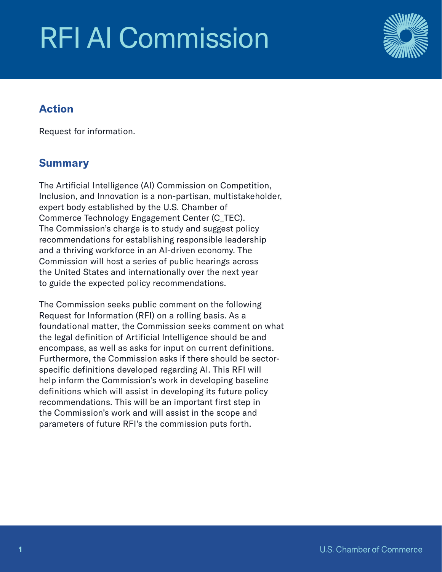# RFI AI Commission



# Action

Request for information.

# Summary

The Artificial Intelligence (AI) Commission on Competition, Inclusion, and Innovation is a non-partisan, multistakeholder, expert body established by the U.S. Chamber of Commerce Technology Engagement Center (C\_TEC). The Commission's charge is to study and suggest policy recommendations for establishing responsible leadership and a thriving workforce in an AI-driven economy. The Commission will host a series of public hearings across the United States and internationally over the next year to guide the expected policy recommendations.

The Commission seeks public comment on the following Request for Information (RFI) on a rolling basis. As a foundational matter, the Commission seeks comment on what the legal definition of Artificial Intelligence should be and encompass, as well as asks for input on current definitions. Furthermore, the Commission asks if there should be sectorspecific definitions developed regarding AI. This RFI will help inform the Commission's work in developing baseline definitions which will assist in developing its future policy recommendations. This will be an important first step in the Commission's work and will assist in the scope and parameters of future RFI's the commission puts forth.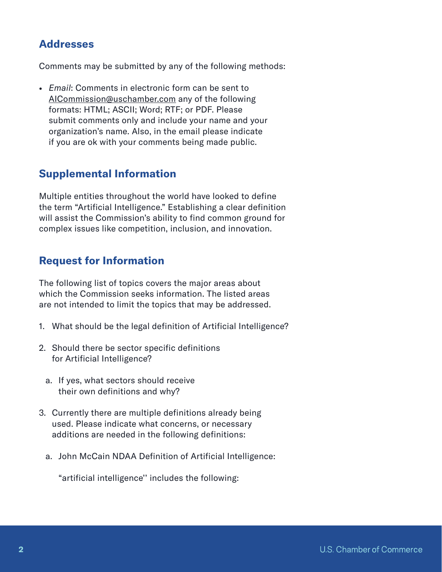### Addresses

Comments may be submitted by any of the following methods:

• *Email*: Comments in electronic form can be sent to [AICommission@uschamber.com](mailto:AICommission%40uschamber.com?subject=) any of the following formats: HTML; ASCII; Word; RTF; or PDF. Please submit comments only and include your name and your organization's name. Also, in the email please indicate if you are ok with your comments being made public.

### Supplemental Information

Multiple entities throughout the world have looked to define the term "Artificial Intelligence." Establishing a clear definition will assist the Commission's ability to find common ground for complex issues like competition, inclusion, and innovation.

### Request for Information

The following list of topics covers the major areas about which the Commission seeks information. The listed areas are not intended to limit the topics that may be addressed.

- 1. What should be the legal definition of Artificial Intelligence?
- 2. Should there be sector specific definitions for Artificial Intelligence?
	- a. If yes, what sectors should receive their own definitions and why?
- 3. Currently there are multiple definitions already being used. Please indicate what concerns, or necessary additions are needed in the following definitions:
	- a. John McCain NDAA Definition of Artificial Intelligence:

"artificial intelligence'' includes the following: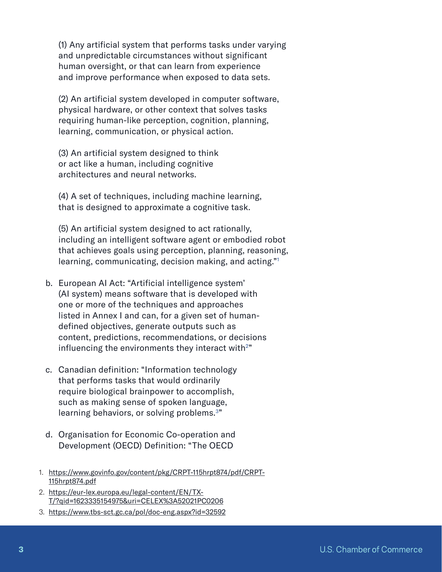(1) Any artificial system that performs tasks under varying and unpredictable circumstances without significant human oversight, or that can learn from experience and improve performance when exposed to data sets.

(2) An artificial system developed in computer software, physical hardware, or other context that solves tasks requiring human-like perception, cognition, planning, learning, communication, or physical action.

(3) An artificial system designed to think or act like a human, including cognitive architectures and neural networks.

(4) A set of techniques, including machine learning, that is designed to approximate a cognitive task.

(5) An artificial system designed to act rationally, including an intelligent software agent or embodied robot that achieves goals using perception, planning, reasoning, learning, communicating, decision making, and acting."1

- b. European AI Act: "Artificial intelligence system' (AI system) means software that is developed with one or more of the techniques and approaches listed in Annex I and can, for a given set of humandefined objectives, generate outputs such as content, predictions, recommendations, or decisions influencing the environments they interact with $2$ "
- c. Canadian definition: "Information technology that performs tasks that would ordinarily require biological brainpower to accomplish, such as making sense of spoken language, learning behaviors, or solving problems.<sup>3"</sup>
- d. Organisation for Economic Co-operation and Development (OECD) Definition: "The OECD
- 1. [https://www.govinfo.gov/content/pkg/CRPT-115hrpt874/pdf/CRPT-](https://www.govinfo.gov/content/pkg/CRPT-115hrpt874/pdf/CRPT-115hrpt874.pdf)[115hrpt874.pdf](https://www.govinfo.gov/content/pkg/CRPT-115hrpt874/pdf/CRPT-115hrpt874.pdf)
- 2. [https://eur-lex.europa.eu/legal-content/EN/TX-](https://eur-lex.europa.eu/legal-content/EN/TXT/?qid=1623335154975&uri=CELEX%3A52021PC0206)[T/?qid=1623335154975&uri=CELEX%3A52021PC0206](https://eur-lex.europa.eu/legal-content/EN/TXT/?qid=1623335154975&uri=CELEX%3A52021PC0206)
- 3. <https://www.tbs-sct.gc.ca/pol/doc-eng.aspx?id=32592>